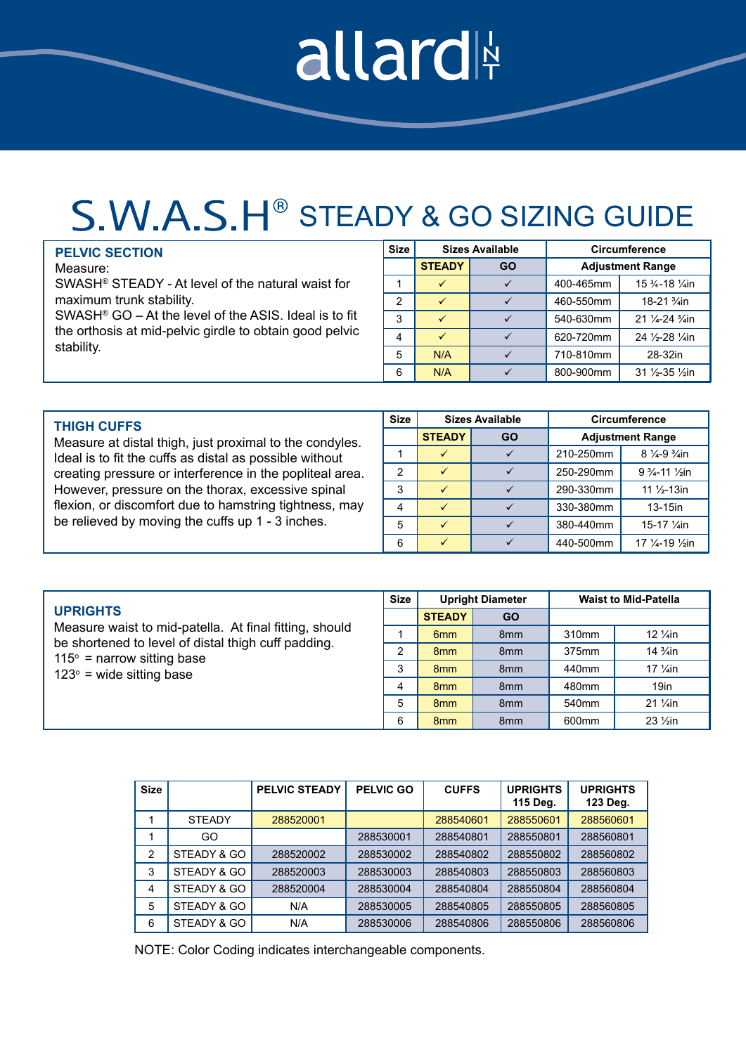## allard

## S.W.A.S.H<sup>®</sup> STEADY & GO SIZING GUIDE

|                                        | <b>PELVIC SECTION</b>                                               | Size |               | Sizes Available | Circumference |                                          |
|----------------------------------------|---------------------------------------------------------------------|------|---------------|-----------------|---------------|------------------------------------------|
|                                        | Measure:                                                            |      | <b>STEADY</b> | GO              |               | <b>Adjustment Range</b>                  |
| maximum trunk stability.<br>stability. | SWASH <sup>®</sup> STEADY - At level of the natural waist for       |      |               |                 | 400-465mm     | 15 3/4-18 1/4in                          |
|                                        |                                                                     |      |               |                 | 460-550mm     | 18-21 <sup>3</sup> / <sub>4</sub> in     |
|                                        | SWASH <sup>®</sup> GO $-$ At the level of the ASIS. Ideal is to fit | C    |               |                 | 540-630mm     | 21 1/4-24 <sup>3</sup> / <sub>4</sub> in |
|                                        | the orthosis at mid-pelvic girdle to obtain good pelvic             |      |               |                 | 620-720mm     | 24 1/2-28 1/4in                          |
|                                        |                                                                     |      | N/A           |                 | 710-810mm     | 28-32in                                  |
|                                        |                                                                     | 6    | N/A           |                 | 800-900mm     | 31 1/2-35 1/2in                          |

| <b>THIGH CUFFS</b>                                                                                                                                                                                                                 |   | <b>Sizes Available</b> |           | <b>Circumference</b>    |                                     |
|------------------------------------------------------------------------------------------------------------------------------------------------------------------------------------------------------------------------------------|---|------------------------|-----------|-------------------------|-------------------------------------|
| Measure at distal thigh, just proximal to the condyles.                                                                                                                                                                            |   | <b>STEADY</b>          | <b>GO</b> | <b>Adjustment Range</b> |                                     |
| Ideal is to fit the cuffs as distal as possible without<br>creating pressure or interference in the popliteal area.<br>However, pressure on the thorax, excessive spinal<br>flexion, or discomfort due to hamstring tightness, may |   |                        |           | 210-250mm               | $8\frac{1}{4} - 9\frac{3}{4}$ in    |
|                                                                                                                                                                                                                                    | 2 |                        |           | 250-290mm               | $9\frac{3}{4}$ -11 $\frac{1}{2}$ in |
|                                                                                                                                                                                                                                    | 3 | $\checkmark$           |           | 290-330mm               | 11 $\frac{1}{2}$ -13in              |
|                                                                                                                                                                                                                                    | 4 |                        |           | 330-380mm               | $13-15$ in                          |
| be relieved by moving the cuffs up 1 - 3 inches.                                                                                                                                                                                   | 5 | $\checkmark$           |           | 380-440mm               | 15-17 1/ain                         |
|                                                                                                                                                                                                                                    |   | $\checkmark$           |           | 440-500mm               | 17 1/4-19 1/ <sub>2</sub> in        |

|                                                                                          | <b>Size</b> | <b>Upright Diameter</b> |                 | <b>Waist to Mid-Patella</b> |                                   |
|------------------------------------------------------------------------------------------|-------------|-------------------------|-----------------|-----------------------------|-----------------------------------|
| <b>UPRIGHTS</b>                                                                          |             | <b>STEADY</b>           | <b>GO</b>       |                             |                                   |
| Measure waist to mid-patella. At final fitting, should                                   |             | 6 <sub>mm</sub>         | 8 <sub>mm</sub> | 310mm                       | 12 $\frac{1}{4}$ in               |
| be shortened to level of distal thigh cuff padding.<br>$115^\circ$ = narrow sitting base | າ           | 8 <sub>mm</sub>         | 8 <sub>mm</sub> | 375mm                       | 14 <sup>3</sup> / <sub>4</sub> in |
| $123^\circ$ = wide sitting base                                                          | 3           | 8 <sub>mm</sub>         | 8 <sub>mm</sub> | 440mm                       | 17 $\frac{1}{4}$ in               |
|                                                                                          | 4           | 8 <sub>mm</sub>         | 8 <sub>mm</sub> | 480mm                       | 19in                              |
|                                                                                          | 5           | 8 <sub>mm</sub>         | 8 <sub>mm</sub> | 540 <sub>mm</sub>           | $21 \frac{1}{4}$ in               |
|                                                                                          |             | 8 <sub>mm</sub>         | 8 <sub>mm</sub> | 600 <sub>mm</sub>           | $23 \frac{1}{2}$ in               |

| <b>Size</b> |               | <b>PELVIC STEADY</b> | <b>PELVIC GO</b> | <b>CUFFS</b> | <b>UPRIGHTS</b><br>115 Deg. | <b>UPRIGHTS</b><br>123 Deg. |
|-------------|---------------|----------------------|------------------|--------------|-----------------------------|-----------------------------|
|             | <b>STEADY</b> | 288520001            |                  | 288540601    | 288550601                   | 288560601                   |
|             | GO            |                      | 288530001        | 288540801    | 288550801                   | 288560801                   |
| 2           | STEADY & GO   | 288520002            | 288530002        | 288540802    | 288550802                   | 288560802                   |
| 3           | STEADY & GO   | 288520003            | 288530003        | 288540803    | 288550803                   | 288560803                   |
| 4           | STEADY & GO   | 288520004            | 288530004        | 288540804    | 288550804                   | 288560804                   |
| 5           | STEADY & GO   | N/A                  | 288530005        | 288540805    | 288550805                   | 288560805                   |
| 6           | STEADY & GO   | N/A                  | 288530006        | 288540806    | 288550806                   | 288560806                   |

NOTE: Color Coding indicates interchangeable components.